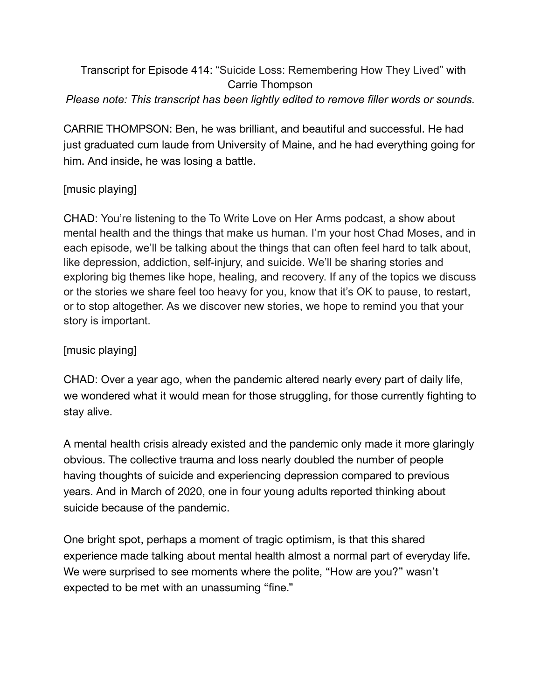# Transcript for Episode 414: "Suicide Loss: Remembering How They Lived" with Carrie Thompson *Please note: This transcript has been lightly edited to remove filler words or sounds.*

CARRIE THOMPSON: Ben, he was brilliant, and beautiful and successful. He had just graduated cum laude from University of Maine, and he had everything going for him. And inside, he was losing a battle.

## [music playing]

CHAD: You're listening to the To Write Love on Her Arms podcast, a show about mental health and the things that make us human. I'm your host Chad Moses, and in each episode, we'll be talking about the things that can often feel hard to talk about, like depression, addiction, self-injury, and suicide. We'll be sharing stories and exploring big themes like hope, healing, and recovery. If any of the topics we discuss or the stories we share feel too heavy for you, know that it's OK to pause, to restart, or to stop altogether. As we discover new stories, we hope to remind you that your story is important.

### [music playing]

CHAD: Over a year ago, when the pandemic altered nearly every part of daily life, we wondered what it would mean for those struggling, for those currently fighting to stay alive.

A mental health crisis already existed and the pandemic only made it more glaringly obvious. The collective trauma and loss nearly doubled the number of people having thoughts of suicide and experiencing depression compared to previous years. And in March of 2020, one in four young adults reported thinking about suicide because of the pandemic[.](https://www.washingtonpost.com/health/2020/11/23/covid-pandemic-rise-suicides/)

One bright spot, perhaps a moment of tragic optimism, is that this shared experience made talking about mental health almost a normal part of everyday life. We were surprised to see moments where the polite, "How are you?" wasn't expected to be met with an unassuming "fine."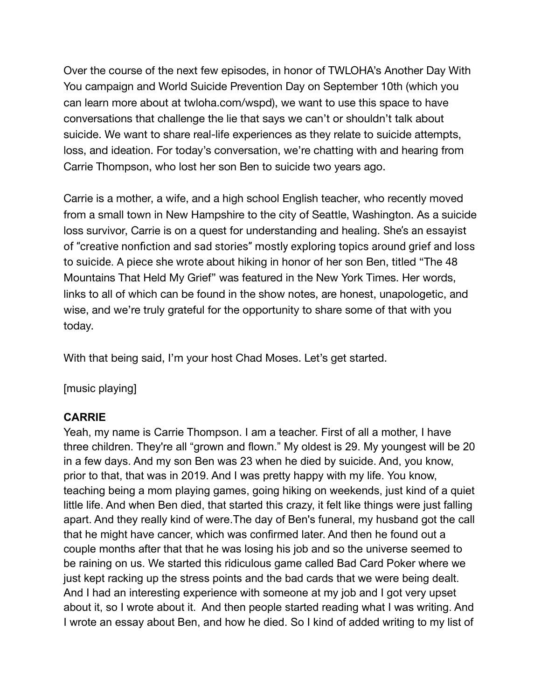Over the course of the next few episodes, in honor of TWLOHA's Another Day With You campaign and World Suicide Prevention Day on September 10th (which you can learn more about at twloha.com/wspd), we want to use this space to have conversations that challenge the lie that says we can't or shouldn't talk about suicide. We want to share real-life experiences as they relate to suicide attempts, loss, and ideation. For today's conversation, we're chatting with and hearing from Carrie Thompson, who lost her son Ben to suicide two years ago.

Carrie is a mother, a wife, and a high school English teacher, who recently moved from a small town in New Hampshire to the city of Seattle, Washington. As a suicide loss survivor, Carrie is on a quest for understanding and healing. She's an essayist of "creative nonfiction and sad stories" mostly exploring topics around grief and loss to suicide. A piece she wrote about hiking in honor of her son Ben, titled "The 48 Mountains That Held My Grief" was featured in the New York Times. Her words, links to all of which can be found in the show notes, are honest, unapologetic, and wise, and we're truly grateful for the opportunity to share some of that with you today.

With that being said, I'm your host Chad Moses. Let's get started.

[music playing]

#### **CARRIE**

Yeah, my name is Carrie Thompson. I am a teacher. First of all a mother, I have three children. They're all "grown and flown." My oldest is 29. My youngest will be 20 in a few days. And my son Ben was 23 when he died by suicide. And, you know, prior to that, that was in 2019. And I was pretty happy with my life. You know, teaching being a mom playing games, going hiking on weekends, just kind of a quiet little life. And when Ben died, that started this crazy, it felt like things were just falling apart. And they really kind of were.The day of Ben's funeral, my husband got the call that he might have cancer, which was confirmed later. And then he found out a couple months after that that he was losing his job and so the universe seemed to be raining on us. We started this ridiculous game called Bad Card Poker where we just kept racking up the stress points and the bad cards that we were being dealt. And I had an interesting experience with someone at my job and I got very upset about it, so I wrote about it. And then people started reading what I was writing. And I wrote an essay about Ben, and how he died. So I kind of added writing to my list of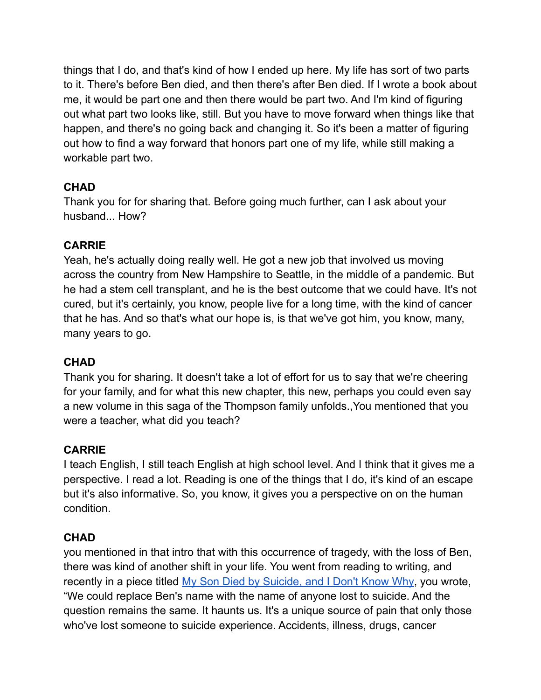things that I do, and that's kind of how I ended up here. My life has sort of two parts to it. There's before Ben died, and then there's after Ben died. If I wrote a book about me, it would be part one and then there would be part two. And I'm kind of figuring out what part two looks like, still. But you have to move forward when things like that happen, and there's no going back and changing it. So it's been a matter of figuring out how to find a way forward that honors part one of my life, while still making a workable part two.

# **CHAD**

Thank you for for sharing that. Before going much further, can I ask about your husband... How?

# **CARRIE**

Yeah, he's actually doing really well. He got a new job that involved us moving across the country from New Hampshire to Seattle, in the middle of a pandemic. But he had a stem cell transplant, and he is the best outcome that we could have. It's not cured, but it's certainly, you know, people live for a long time, with the kind of cancer that he has. And so that's what our hope is, is that we've got him, you know, many, many years to go.

# **CHAD**

Thank you for sharing. It doesn't take a lot of effort for us to say that we're cheering for your family, and for what this new chapter, this new, perhaps you could even say a new volume in this saga of the Thompson family unfolds.,You mentioned that you were a teacher, what did you teach?

# **CARRIE**

I teach English, I still teach English at high school level. And I think that it gives me a perspective. I read a lot. Reading is one of the things that I do, it's kind of an escape but it's also informative. So, you know, it gives you a perspective on on the human condition.

### **CHAD**

you mentioned in that intro that with this occurrence of tragedy, with the loss of Ben, there was kind of another shift in your life. You went from reading to writing, and recently in a piece titled My Son Died by [Suicide,](https://humanparts.medium.com/my-son-died-by-suicide-and-i-dont-know-why-b12f684422a7) and I Don't Know Why, you wrote, "We could replace Ben's name with the name of anyone lost to suicide. And the question remains the same. It haunts us. It's a unique source of pain that only those who've lost someone to suicide experience. Accidents, illness, drugs, cancer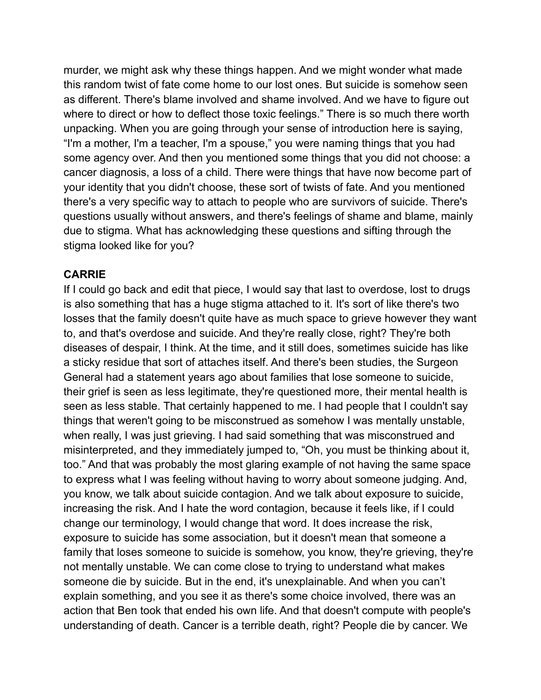murder, we might ask why these things happen. And we might wonder what made this random twist of fate come home to our lost ones. But suicide is somehow seen as different. There's blame involved and shame involved. And we have to figure out where to direct or how to deflect those toxic feelings." There is so much there worth unpacking. When you are going through your sense of introduction here is saying, "I'm a mother, I'm a teacher, I'm a spouse," you were naming things that you had some agency over. And then you mentioned some things that you did not choose: a cancer diagnosis, a loss of a child. There were things that have now become part of your identity that you didn't choose, these sort of twists of fate. And you mentioned there's a very specific way to attach to people who are survivors of suicide. There's questions usually without answers, and there's feelings of shame and blame, mainly due to stigma. What has acknowledging these questions and sifting through the stigma looked like for you?

#### **CARRIE**

If I could go back and edit that piece, I would say that last to overdose, lost to drugs is also something that has a huge stigma attached to it. It's sort of like there's two losses that the family doesn't quite have as much space to grieve however they want to, and that's overdose and suicide. And they're really close, right? They're both diseases of despair, I think. At the time, and it still does, sometimes suicide has like a sticky residue that sort of attaches itself. And there's been studies, the Surgeon General had a statement years ago about families that lose someone to suicide, their grief is seen as less legitimate, they're questioned more, their mental health is seen as less stable. That certainly happened to me. I had people that I couldn't say things that weren't going to be misconstrued as somehow I was mentally unstable, when really, I was just grieving. I had said something that was misconstrued and misinterpreted, and they immediately jumped to, "Oh, you must be thinking about it, too." And that was probably the most glaring example of not having the same space to express what I was feeling without having to worry about someone judging. And, you know, we talk about suicide contagion. And we talk about exposure to suicide, increasing the risk. And I hate the word contagion, because it feels like, if I could change our terminology, I would change that word. It does increase the risk, exposure to suicide has some association, but it doesn't mean that someone a family that loses someone to suicide is somehow, you know, they're grieving, they're not mentally unstable. We can come close to trying to understand what makes someone die by suicide. But in the end, it's unexplainable. And when you can't explain something, and you see it as there's some choice involved, there was an action that Ben took that ended his own life. And that doesn't compute with people's understanding of death. Cancer is a terrible death, right? People die by cancer. We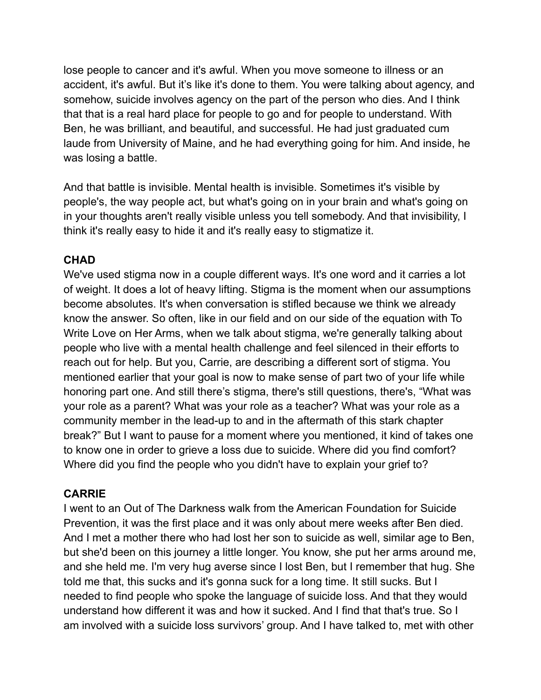lose people to cancer and it's awful. When you move someone to illness or an accident, it's awful. But it's like it's done to them. You were talking about agency, and somehow, suicide involves agency on the part of the person who dies. And I think that that is a real hard place for people to go and for people to understand. With Ben, he was brilliant, and beautiful, and successful. He had just graduated cum laude from University of Maine, and he had everything going for him. And inside, he was losing a battle.

And that battle is invisible. Mental health is invisible. Sometimes it's visible by people's, the way people act, but what's going on in your brain and what's going on in your thoughts aren't really visible unless you tell somebody. And that invisibility, I think it's really easy to hide it and it's really easy to stigmatize it.

### **CHAD**

We've used stigma now in a couple different ways. It's one word and it carries a lot of weight. It does a lot of heavy lifting. Stigma is the moment when our assumptions become absolutes. It's when conversation is stifled because we think we already know the answer. So often, like in our field and on our side of the equation with To Write Love on Her Arms, when we talk about stigma, we're generally talking about people who live with a mental health challenge and feel silenced in their efforts to reach out for help. But you, Carrie, are describing a different sort of stigma. You mentioned earlier that your goal is now to make sense of part two of your life while honoring part one. And still there's stigma, there's still questions, there's, "What was your role as a parent? What was your role as a teacher? What was your role as a community member in the lead-up to and in the aftermath of this stark chapter break?" But I want to pause for a moment where you mentioned, it kind of takes one to know one in order to grieve a loss due to suicide. Where did you find comfort? Where did you find the people who you didn't have to explain your grief to?

#### **CARRIE**

I went to an Out of The Darkness walk from the American Foundation for Suicide Prevention, it was the first place and it was only about mere weeks after Ben died. And I met a mother there who had lost her son to suicide as well, similar age to Ben, but she'd been on this journey a little longer. You know, she put her arms around me, and she held me. I'm very hug averse since I lost Ben, but I remember that hug. She told me that, this sucks and it's gonna suck for a long time. It still sucks. But I needed to find people who spoke the language of suicide loss. And that they would understand how different it was and how it sucked. And I find that that's true. So I am involved with a suicide loss survivors' group. And I have talked to, met with other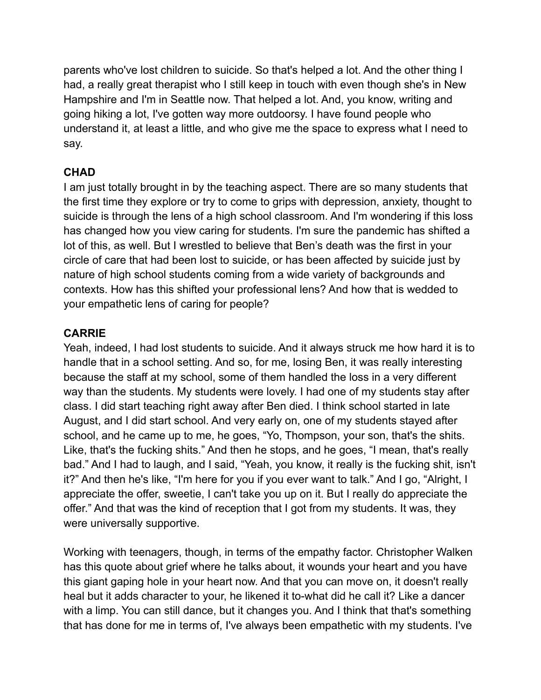parents who've lost children to suicide. So that's helped a lot. And the other thing I had, a really great therapist who I still keep in touch with even though she's in New Hampshire and I'm in Seattle now. That helped a lot. And, you know, writing and going hiking a lot, I've gotten way more outdoorsy. I have found people who understand it, at least a little, and who give me the space to express what I need to say.

## **CHAD**

I am just totally brought in by the teaching aspect. There are so many students that the first time they explore or try to come to grips with depression, anxiety, thought to suicide is through the lens of a high school classroom. And I'm wondering if this loss has changed how you view caring for students. I'm sure the pandemic has shifted a lot of this, as well. But I wrestled to believe that Ben's death was the first in your circle of care that had been lost to suicide, or has been affected by suicide just by nature of high school students coming from a wide variety of backgrounds and contexts. How has this shifted your professional lens? And how that is wedded to your empathetic lens of caring for people?

### **CARRIE**

Yeah, indeed, I had lost students to suicide. And it always struck me how hard it is to handle that in a school setting. And so, for me, losing Ben, it was really interesting because the staff at my school, some of them handled the loss in a very different way than the students. My students were lovely. I had one of my students stay after class. I did start teaching right away after Ben died. I think school started in late August, and I did start school. And very early on, one of my students stayed after school, and he came up to me, he goes, "Yo, Thompson, your son, that's the shits. Like, that's the fucking shits." And then he stops, and he goes, "I mean, that's really bad." And I had to laugh, and I said, "Yeah, you know, it really is the fucking shit, isn't it?" And then he's like, "I'm here for you if you ever want to talk." And I go, "Alright, I appreciate the offer, sweetie, I can't take you up on it. But I really do appreciate the offer." And that was the kind of reception that I got from my students. It was, they were universally supportive.

Working with teenagers, though, in terms of the empathy factor. Christopher Walken has this quote about grief where he talks about, it wounds your heart and you have this giant gaping hole in your heart now. And that you can move on, it doesn't really heal but it adds character to your, he likened it to-what did he call it? Like a dancer with a limp. You can still dance, but it changes you. And I think that that's something that has done for me in terms of, I've always been empathetic with my students. I've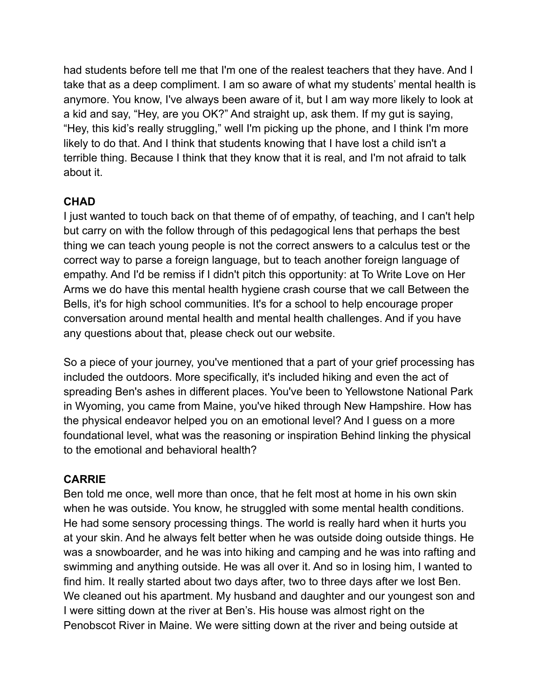had students before tell me that I'm one of the realest teachers that they have. And I take that as a deep compliment. I am so aware of what my students' mental health is anymore. You know, I've always been aware of it, but I am way more likely to look at a kid and say, "Hey, are you OK?" And straight up, ask them. If my gut is saying, "Hey, this kid's really struggling," well I'm picking up the phone, and I think I'm more likely to do that. And I think that students knowing that I have lost a child isn't a terrible thing. Because I think that they know that it is real, and I'm not afraid to talk about it.

## **CHAD**

I just wanted to touch back on that theme of of empathy, of teaching, and I can't help but carry on with the follow through of this pedagogical lens that perhaps the best thing we can teach young people is not the correct answers to a calculus test or the correct way to parse a foreign language, but to teach another foreign language of empathy. And I'd be remiss if I didn't pitch this opportunity: at To Write Love on Her Arms we do have this mental health hygiene crash course that we call Between the Bells, it's for high school communities. It's for a school to help encourage proper conversation around mental health and mental health challenges. And if you have any questions about that, please check out our website.

So a piece of your journey, you've mentioned that a part of your grief processing has included the outdoors. More specifically, it's included hiking and even the act of spreading Ben's ashes in different places. You've been to Yellowstone National Park in Wyoming, you came from Maine, you've hiked through New Hampshire. How has the physical endeavor helped you on an emotional level? And I guess on a more foundational level, what was the reasoning or inspiration Behind linking the physical to the emotional and behavioral health?

### **CARRIE**

Ben told me once, well more than once, that he felt most at home in his own skin when he was outside. You know, he struggled with some mental health conditions. He had some sensory processing things. The world is really hard when it hurts you at your skin. And he always felt better when he was outside doing outside things. He was a snowboarder, and he was into hiking and camping and he was into rafting and swimming and anything outside. He was all over it. And so in losing him, I wanted to find him. It really started about two days after, two to three days after we lost Ben. We cleaned out his apartment. My husband and daughter and our youngest son and I were sitting down at the river at Ben's. His house was almost right on the Penobscot River in Maine. We were sitting down at the river and being outside at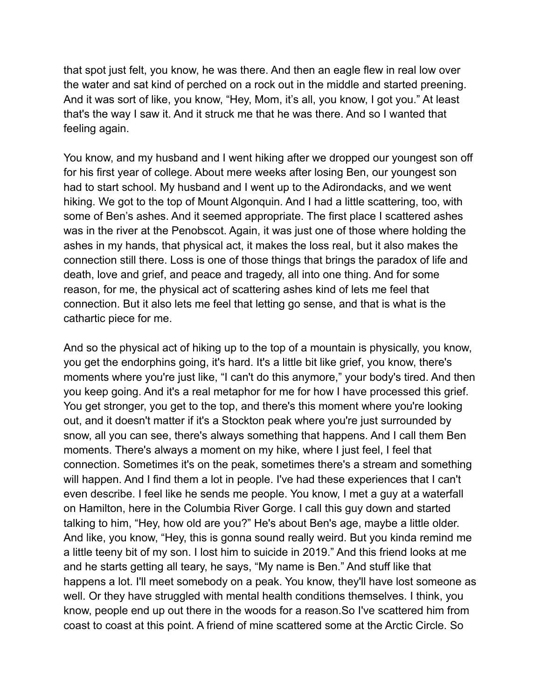that spot just felt, you know, he was there. And then an eagle flew in real low over the water and sat kind of perched on a rock out in the middle and started preening. And it was sort of like, you know, "Hey, Mom, it's all, you know, I got you." At least that's the way I saw it. And it struck me that he was there. And so I wanted that feeling again.

You know, and my husband and I went hiking after we dropped our youngest son off for his first year of college. About mere weeks after losing Ben, our youngest son had to start school. My husband and I went up to the Adirondacks, and we went hiking. We got to the top of Mount Algonquin. And I had a little scattering, too, with some of Ben's ashes. And it seemed appropriate. The first place I scattered ashes was in the river at the Penobscot. Again, it was just one of those where holding the ashes in my hands, that physical act, it makes the loss real, but it also makes the connection still there. Loss is one of those things that brings the paradox of life and death, love and grief, and peace and tragedy, all into one thing. And for some reason, for me, the physical act of scattering ashes kind of lets me feel that connection. But it also lets me feel that letting go sense, and that is what is the cathartic piece for me.

And so the physical act of hiking up to the top of a mountain is physically, you know, you get the endorphins going, it's hard. It's a little bit like grief, you know, there's moments where you're just like, "I can't do this anymore," your body's tired. And then you keep going. And it's a real metaphor for me for how I have processed this grief. You get stronger, you get to the top, and there's this moment where you're looking out, and it doesn't matter if it's a Stockton peak where you're just surrounded by snow, all you can see, there's always something that happens. And I call them Ben moments. There's always a moment on my hike, where I just feel, I feel that connection. Sometimes it's on the peak, sometimes there's a stream and something will happen. And I find them a lot in people. I've had these experiences that I can't even describe. I feel like he sends me people. You know, I met a guy at a waterfall on Hamilton, here in the Columbia River Gorge. I call this guy down and started talking to him, "Hey, how old are you?" He's about Ben's age, maybe a little older. And like, you know, "Hey, this is gonna sound really weird. But you kinda remind me a little teeny bit of my son. I lost him to suicide in 2019." And this friend looks at me and he starts getting all teary, he says, "My name is Ben." And stuff like that happens a lot. I'll meet somebody on a peak. You know, they'll have lost someone as well. Or they have struggled with mental health conditions themselves. I think, you know, people end up out there in the woods for a reason.So I've scattered him from coast to coast at this point. A friend of mine scattered some at the Arctic Circle. So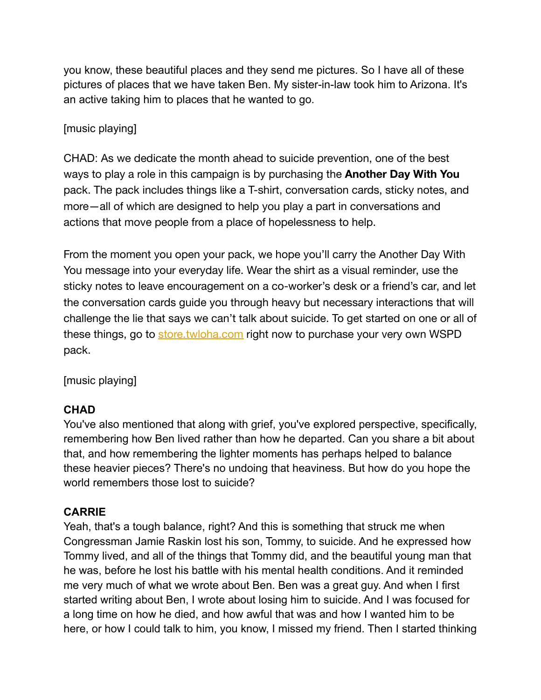you know, these beautiful places and they send me pictures. So I have all of these pictures of places that we have taken Ben. My sister-in-law took him to Arizona. It's an active taking him to places that he wanted to go.

## [music playing]

CHAD: As we dedicate the month ahead to suicide prevention, one of the best ways to play a role in this campaign is by purchasing the **Another Day With You** pack. The pack includes things like a T-shirt, conversation cards, sticky notes, and more—all of which are designed to help you play a part in conversations and actions that move people from a place of hopelessness to help.

From the moment you open your pack, we hope you'll carry the Another Day With You message into your everyday life. Wear the shirt as a visual reminder, use the sticky notes to leave encouragement on a co-worker's desk or a friend's car, and let the conversation cards guide you through heavy but necessary interactions that will challenge the lie that says we can't talk about suicide. To get started on one or all of these things, go to [store.twloha.com](http://store.twloha.com) right now to purchase your very own WSPD pack.

[music playing]

### **CHAD**

You've also mentioned that along with grief, you've explored perspective, specifically, remembering how Ben lived rather than how he departed. Can you share a bit about that, and how remembering the lighter moments has perhaps helped to balance these heavier pieces? There's no undoing that heaviness. But how do you hope the world remembers those lost to suicide?

### **CARRIE**

Yeah, that's a tough balance, right? And this is something that struck me when Congressman Jamie Raskin lost his son, Tommy, to suicide. And he expressed how Tommy lived, and all of the things that Tommy did, and the beautiful young man that he was, before he lost his battle with his mental health conditions. And it reminded me very much of what we wrote about Ben. Ben was a great guy. And when I first started writing about Ben, I wrote about losing him to suicide. And I was focused for a long time on how he died, and how awful that was and how I wanted him to be here, or how I could talk to him, you know, I missed my friend. Then I started thinking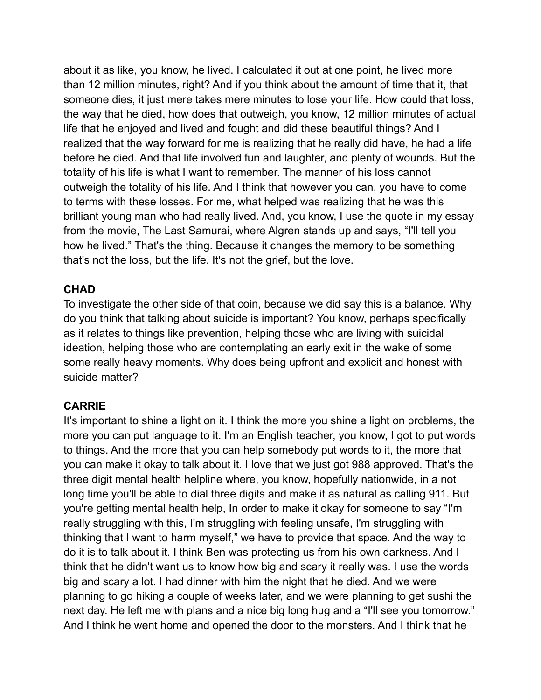about it as like, you know, he lived. I calculated it out at one point, he lived more than 12 million minutes, right? And if you think about the amount of time that it, that someone dies, it just mere takes mere minutes to lose your life. How could that loss, the way that he died, how does that outweigh, you know, 12 million minutes of actual life that he enjoyed and lived and fought and did these beautiful things? And I realized that the way forward for me is realizing that he really did have, he had a life before he died. And that life involved fun and laughter, and plenty of wounds. But the totality of his life is what I want to remember. The manner of his loss cannot outweigh the totality of his life. And I think that however you can, you have to come to terms with these losses. For me, what helped was realizing that he was this brilliant young man who had really lived. And, you know, I use the quote in my essay from the movie, The Last Samurai, where Algren stands up and says, "I'll tell you how he lived." That's the thing. Because it changes the memory to be something that's not the loss, but the life. It's not the grief, but the love.

#### **CHAD**

To investigate the other side of that coin, because we did say this is a balance. Why do you think that talking about suicide is important? You know, perhaps specifically as it relates to things like prevention, helping those who are living with suicidal ideation, helping those who are contemplating an early exit in the wake of some some really heavy moments. Why does being upfront and explicit and honest with suicide matter?

### **CARRIE**

It's important to shine a light on it. I think the more you shine a light on problems, the more you can put language to it. I'm an English teacher, you know, I got to put words to things. And the more that you can help somebody put words to it, the more that you can make it okay to talk about it. I love that we just got 988 approved. That's the three digit mental health helpline where, you know, hopefully nationwide, in a not long time you'll be able to dial three digits and make it as natural as calling 911. But you're getting mental health help, In order to make it okay for someone to say "I'm really struggling with this, I'm struggling with feeling unsafe, I'm struggling with thinking that I want to harm myself," we have to provide that space. And the way to do it is to talk about it. I think Ben was protecting us from his own darkness. And I think that he didn't want us to know how big and scary it really was. I use the words big and scary a lot. I had dinner with him the night that he died. And we were planning to go hiking a couple of weeks later, and we were planning to get sushi the next day. He left me with plans and a nice big long hug and a "I'll see you tomorrow." And I think he went home and opened the door to the monsters. And I think that he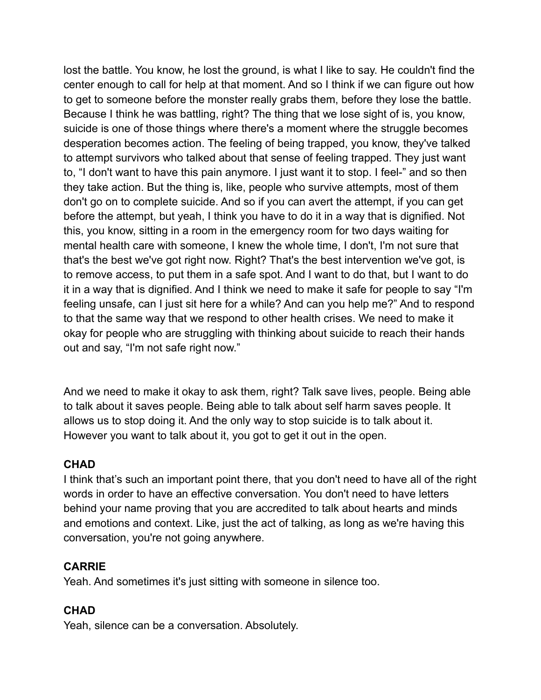lost the battle. You know, he lost the ground, is what I like to say. He couldn't find the center enough to call for help at that moment. And so I think if we can figure out how to get to someone before the monster really grabs them, before they lose the battle. Because I think he was battling, right? The thing that we lose sight of is, you know, suicide is one of those things where there's a moment where the struggle becomes desperation becomes action. The feeling of being trapped, you know, they've talked to attempt survivors who talked about that sense of feeling trapped. They just want to, "I don't want to have this pain anymore. I just want it to stop. I feel-" and so then they take action. But the thing is, like, people who survive attempts, most of them don't go on to complete suicide. And so if you can avert the attempt, if you can get before the attempt, but yeah, I think you have to do it in a way that is dignified. Not this, you know, sitting in a room in the emergency room for two days waiting for mental health care with someone, I knew the whole time, I don't, I'm not sure that that's the best we've got right now. Right? That's the best intervention we've got, is to remove access, to put them in a safe spot. And I want to do that, but I want to do it in a way that is dignified. And I think we need to make it safe for people to say "I'm feeling unsafe, can I just sit here for a while? And can you help me?" And to respond to that the same way that we respond to other health crises. We need to make it okay for people who are struggling with thinking about suicide to reach their hands out and say, "I'm not safe right now."

And we need to make it okay to ask them, right? Talk save lives, people. Being able to talk about it saves people. Being able to talk about self harm saves people. It allows us to stop doing it. And the only way to stop suicide is to talk about it. However you want to talk about it, you got to get it out in the open.

### **CHAD**

I think that's such an important point there, that you don't need to have all of the right words in order to have an effective conversation. You don't need to have letters behind your name proving that you are accredited to talk about hearts and minds and emotions and context. Like, just the act of talking, as long as we're having this conversation, you're not going anywhere.

#### **CARRIE**

Yeah. And sometimes it's just sitting with someone in silence too.

### **CHAD**

Yeah, silence can be a conversation. Absolutely.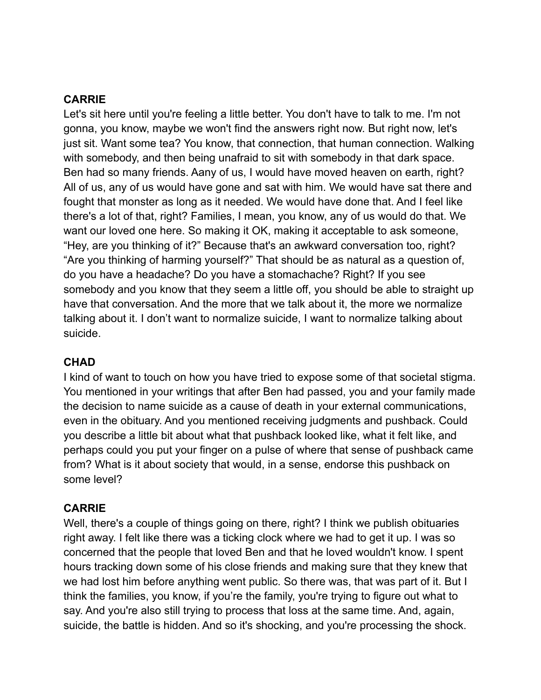#### **CARRIE**

Let's sit here until you're feeling a little better. You don't have to talk to me. I'm not gonna, you know, maybe we won't find the answers right now. But right now, let's just sit. Want some tea? You know, that connection, that human connection. Walking with somebody, and then being unafraid to sit with somebody in that dark space. Ben had so many friends. Aany of us, I would have moved heaven on earth, right? All of us, any of us would have gone and sat with him. We would have sat there and fought that monster as long as it needed. We would have done that. And I feel like there's a lot of that, right? Families, I mean, you know, any of us would do that. We want our loved one here. So making it OK, making it acceptable to ask someone, "Hey, are you thinking of it?" Because that's an awkward conversation too, right? "Are you thinking of harming yourself?" That should be as natural as a question of, do you have a headache? Do you have a stomachache? Right? If you see somebody and you know that they seem a little off, you should be able to straight up have that conversation. And the more that we talk about it, the more we normalize talking about it. I don't want to normalize suicide, I want to normalize talking about suicide.

#### **CHAD**

I kind of want to touch on how you have tried to expose some of that societal stigma. You mentioned in your writings that after Ben had passed, you and your family made the decision to name suicide as a cause of death in your external communications, even in the obituary. And you mentioned receiving judgments and pushback. Could you describe a little bit about what that pushback looked like, what it felt like, and perhaps could you put your finger on a pulse of where that sense of pushback came from? What is it about society that would, in a sense, endorse this pushback on some level?

### **CARRIE**

Well, there's a couple of things going on there, right? I think we publish obituaries right away. I felt like there was a ticking clock where we had to get it up. I was so concerned that the people that loved Ben and that he loved wouldn't know. I spent hours tracking down some of his close friends and making sure that they knew that we had lost him before anything went public. So there was, that was part of it. But I think the families, you know, if you're the family, you're trying to figure out what to say. And you're also still trying to process that loss at the same time. And, again, suicide, the battle is hidden. And so it's shocking, and you're processing the shock.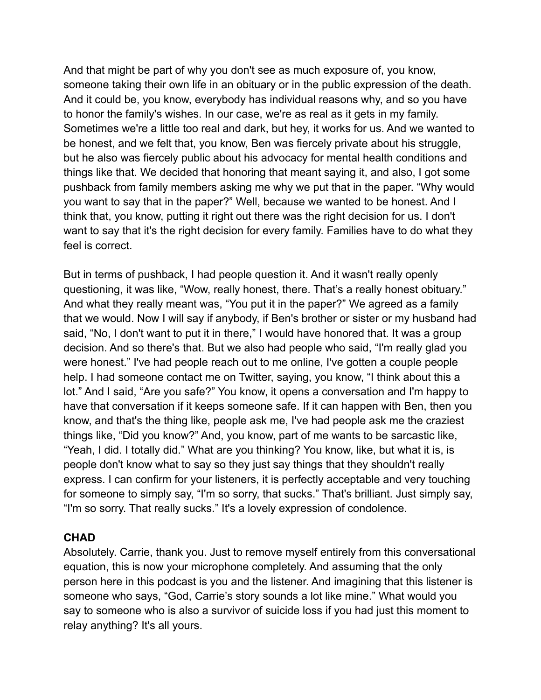And that might be part of why you don't see as much exposure of, you know, someone taking their own life in an obituary or in the public expression of the death. And it could be, you know, everybody has individual reasons why, and so you have to honor the family's wishes. In our case, we're as real as it gets in my family. Sometimes we're a little too real and dark, but hey, it works for us. And we wanted to be honest, and we felt that, you know, Ben was fiercely private about his struggle, but he also was fiercely public about his advocacy for mental health conditions and things like that. We decided that honoring that meant saying it, and also, I got some pushback from family members asking me why we put that in the paper. "Why would you want to say that in the paper?" Well, because we wanted to be honest. And I think that, you know, putting it right out there was the right decision for us. I don't want to say that it's the right decision for every family. Families have to do what they feel is correct.

But in terms of pushback, I had people question it. And it wasn't really openly questioning, it was like, "Wow, really honest, there. That's a really honest obituary." And what they really meant was, "You put it in the paper?" We agreed as a family that we would. Now I will say if anybody, if Ben's brother or sister or my husband had said, "No, I don't want to put it in there," I would have honored that. It was a group decision. And so there's that. But we also had people who said, "I'm really glad you were honest." I've had people reach out to me online, I've gotten a couple people help. I had someone contact me on Twitter, saying, you know, "I think about this a lot." And I said, "Are you safe?" You know, it opens a conversation and I'm happy to have that conversation if it keeps someone safe. If it can happen with Ben, then you know, and that's the thing like, people ask me, I've had people ask me the craziest things like, "Did you know?" And, you know, part of me wants to be sarcastic like, "Yeah, I did. I totally did." What are you thinking? You know, like, but what it is, is people don't know what to say so they just say things that they shouldn't really express. I can confirm for your listeners, it is perfectly acceptable and very touching for someone to simply say, "I'm so sorry, that sucks." That's brilliant. Just simply say, "I'm so sorry. That really sucks." It's a lovely expression of condolence.

#### **CHAD**

Absolutely. Carrie, thank you. Just to remove myself entirely from this conversational equation, this is now your microphone completely. And assuming that the only person here in this podcast is you and the listener. And imagining that this listener is someone who says, "God, Carrie's story sounds a lot like mine." What would you say to someone who is also a survivor of suicide loss if you had just this moment to relay anything? It's all yours.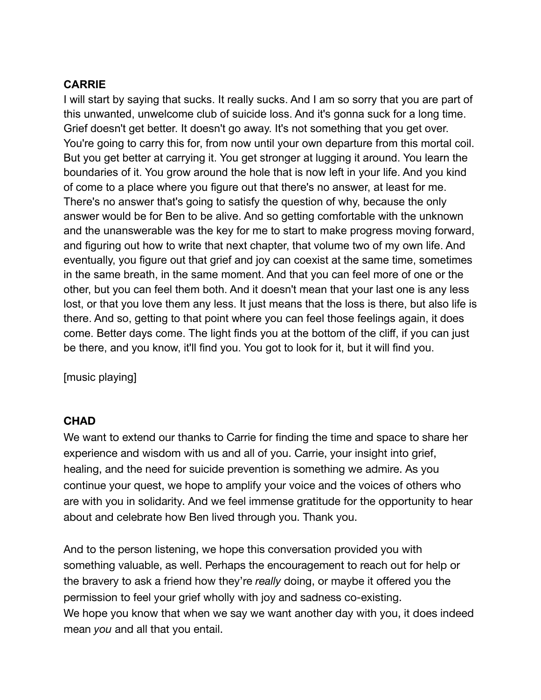#### **CARRIE**

I will start by saying that sucks. It really sucks. And I am so sorry that you are part of this unwanted, unwelcome club of suicide loss. And it's gonna suck for a long time. Grief doesn't get better. It doesn't go away. It's not something that you get over. You're going to carry this for, from now until your own departure from this mortal coil. But you get better at carrying it. You get stronger at lugging it around. You learn the boundaries of it. You grow around the hole that is now left in your life. And you kind of come to a place where you figure out that there's no answer, at least for me. There's no answer that's going to satisfy the question of why, because the only answer would be for Ben to be alive. And so getting comfortable with the unknown and the unanswerable was the key for me to start to make progress moving forward, and figuring out how to write that next chapter, that volume two of my own life. And eventually, you figure out that grief and joy can coexist at the same time, sometimes in the same breath, in the same moment. And that you can feel more of one or the other, but you can feel them both. And it doesn't mean that your last one is any less lost, or that you love them any less. It just means that the loss is there, but also life is there. And so, getting to that point where you can feel those feelings again, it does come. Better days come. The light finds you at the bottom of the cliff, if you can just be there, and you know, it'll find you. You got to look for it, but it will find you.

[music playing]

#### **CHAD**

We want to extend our thanks to Carrie for finding the time and space to share her experience and wisdom with us and all of you. Carrie, your insight into grief, healing, and the need for suicide prevention is something we admire. As you continue your quest, we hope to amplify your voice and the voices of others who are with you in solidarity. And we feel immense gratitude for the opportunity to hear about and celebrate how Ben lived through you. Thank you.

And to the person listening, we hope this conversation provided you with something valuable, as well. Perhaps the encouragement to reach out for help or the bravery to ask a friend how they're *really* doing, or maybe it offered you the permission to feel your grief wholly with joy and sadness co-existing. We hope you know that when we say we want another day with you, it does indeed mean *you* and all that you entail.